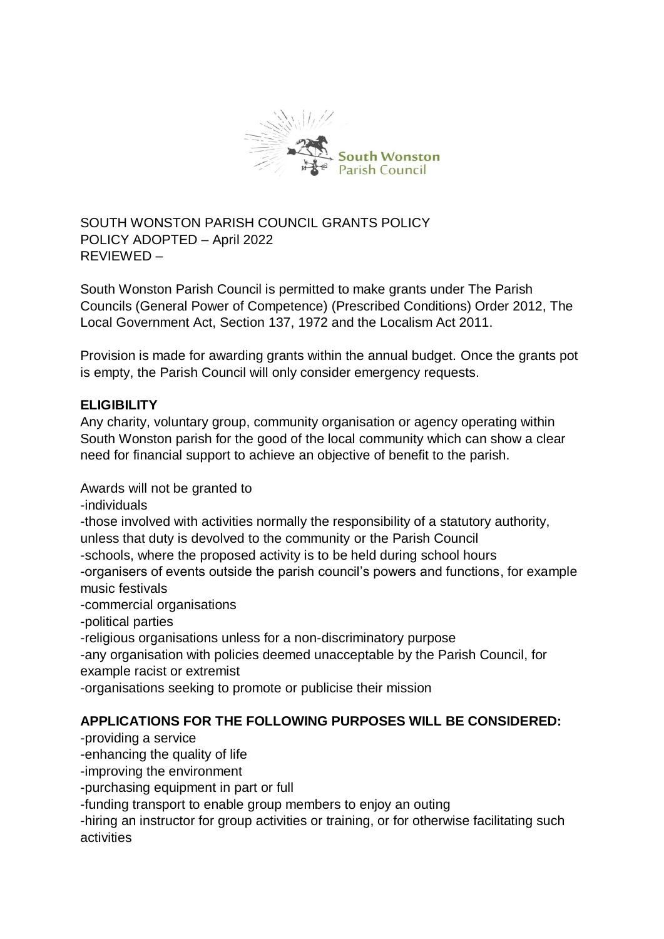

SOUTH WONSTON PARISH COUNCIL GRANTS POLICY POLICY ADOPTED – April 2022 REVIEWED –

South Wonston Parish Council is permitted to make grants under The Parish Councils (General Power of Competence) (Prescribed Conditions) Order 2012, The Local Government Act, Section 137, 1972 and the Localism Act 2011.

Provision is made for awarding grants within the annual budget. Once the grants pot is empty, the Parish Council will only consider emergency requests.

# **ELIGIBILITY**

Any charity, voluntary group, community organisation or agency operating within South Wonston parish for the good of the local community which can show a clear need for financial support to achieve an objective of benefit to the parish.

Awards will not be granted to

-individuals

-those involved with activities normally the responsibility of a statutory authority, unless that duty is devolved to the community or the Parish Council -schools, where the proposed activity is to be held during school hours

-organisers of events outside the parish council's powers and functions, for example music festivals

-commercial organisations

-political parties

-religious organisations unless for a non-discriminatory purpose

-any organisation with policies deemed unacceptable by the Parish Council, for example racist or extremist

-organisations seeking to promote or publicise their mission

# **APPLICATIONS FOR THE FOLLOWING PURPOSES WILL BE CONSIDERED:**

-providing a service

-enhancing the quality of life

-improving the environment

-purchasing equipment in part or full

-funding transport to enable group members to enjoy an outing

-hiring an instructor for group activities or training, or for otherwise facilitating such activities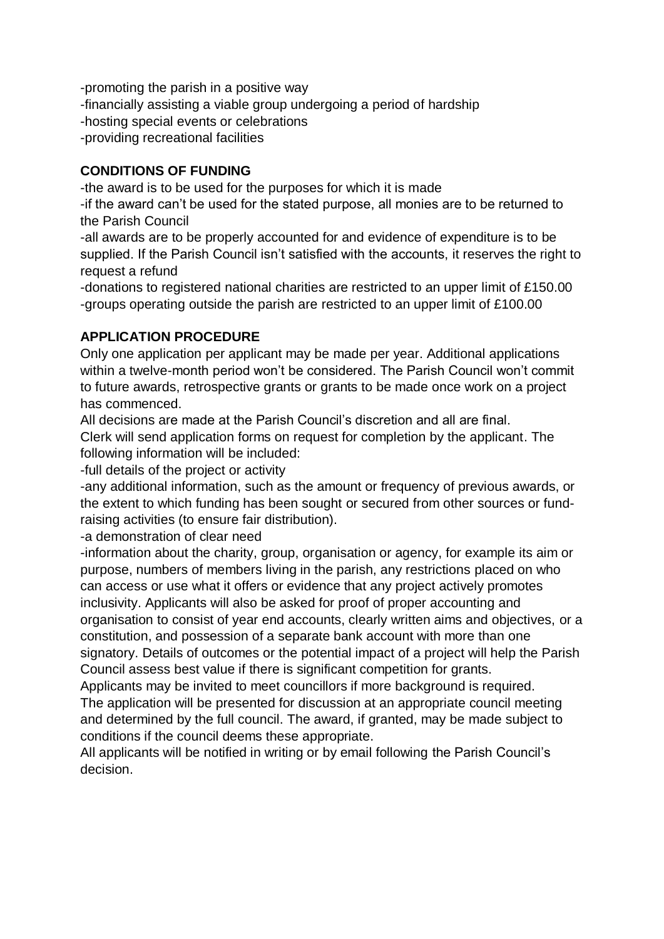-promoting the parish in a positive way -financially assisting a viable group undergoing a period of hardship -hosting special events or celebrations -providing recreational facilities

# **CONDITIONS OF FUNDING**

-the award is to be used for the purposes for which it is made

-if the award can't be used for the stated purpose, all monies are to be returned to the Parish Council

-all awards are to be properly accounted for and evidence of expenditure is to be supplied. If the Parish Council isn't satisfied with the accounts, it reserves the right to request a refund

-donations to registered national charities are restricted to an upper limit of £150.00 -groups operating outside the parish are restricted to an upper limit of £100.00

# **APPLICATION PROCEDURE**

Only one application per applicant may be made per year. Additional applications within a twelve-month period won't be considered. The Parish Council won't commit to future awards, retrospective grants or grants to be made once work on a project has commenced.

All decisions are made at the Parish Council's discretion and all are final.

Clerk will send application forms on request for completion by the applicant. The following information will be included:

-full details of the project or activity

-any additional information, such as the amount or frequency of previous awards, or the extent to which funding has been sought or secured from other sources or fundraising activities (to ensure fair distribution).

-a demonstration of clear need

-information about the charity, group, organisation or agency, for example its aim or purpose, numbers of members living in the parish, any restrictions placed on who can access or use what it offers or evidence that any project actively promotes inclusivity. Applicants will also be asked for proof of proper accounting and organisation to consist of year end accounts, clearly written aims and objectives, or a constitution, and possession of a separate bank account with more than one signatory. Details of outcomes or the potential impact of a project will help the Parish Council assess best value if there is significant competition for grants.

Applicants may be invited to meet councillors if more background is required. The application will be presented for discussion at an appropriate council meeting and determined by the full council. The award, if granted, may be made subject to conditions if the council deems these appropriate.

All applicants will be notified in writing or by email following the Parish Council's decision.